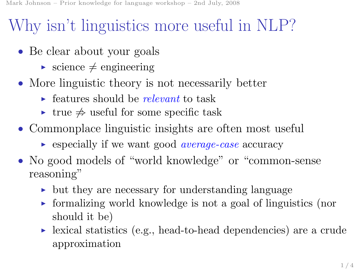## Why isn't linguistics more useful in NLP?

- Be clear about your goals
	- science  $\neq$  engineering
- More linguistic theory is not necessarily better
	- $\rightarrow$  features should be *relevant* to task
	- $\triangleright$  true  $\neq$  useful for some specific task
- Commonplace linguistic insights are often most useful
	- $\triangleright$  especially if we want good *average-case* accuracy
- No good models of "world knowledge" or "common-sense reasoning"
	- $\rightarrow$  but they are necessary for understanding language
	- $\triangleright$  formalizing world knowledge is not a goal of linguistics (nor should it be)
	- ► lexical statistics (e.g., head-to-head dependencies) are a crude approximation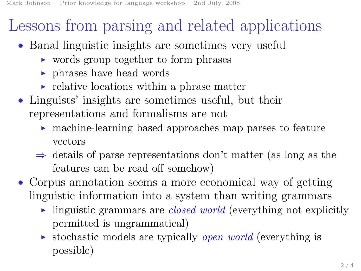## Lessons from parsing and related applications

- Banal linguistic insights are sometimes very useful
	- ► words group together to form phrases
	- ► phrases have head words
	- $\triangleright$  relative locations within a phrase matter
- Linguists' insights are sometimes useful, but their representations and formalisms are not
	- ► machine-learning based approaches map parses to feature vectors
	- $\Rightarrow$  details of parse representations don't matter (as long as the features can be read off somehow)
- Corpus annotation seems a more economical way of getting linguistic information into a system than writing grammars
	- inguistic grammars are *closed world* (everything not explicitly permitted is ungrammatical)
	- stochastic models are typically *open world* (everything is possible)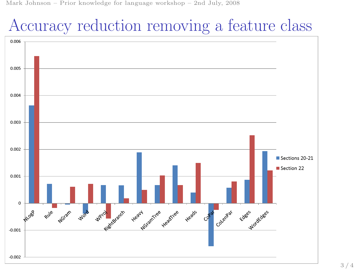Mark Johnson – Prior knowledge for language workshop – 2nd July, 2008

## Accuracy reduction removing a feature class